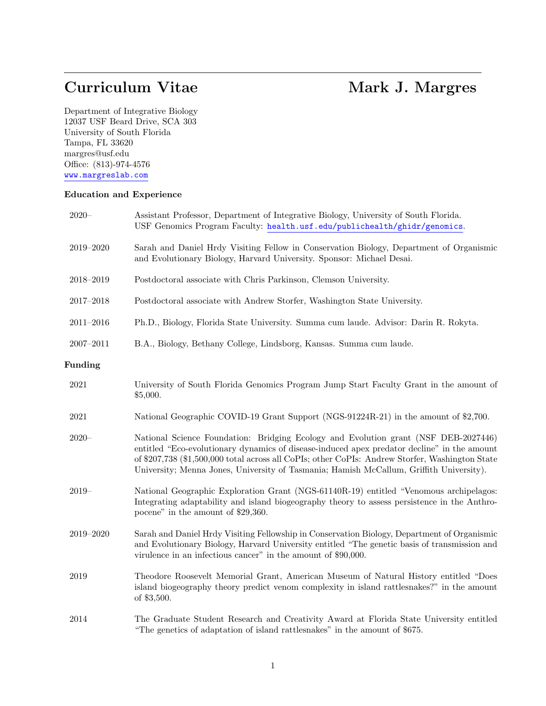# Curriculum Vitae Mark J. Margres

Department of Integrative Biology 12037 USF Beard Drive, SCA 303 University of South Florida Tampa, FL 33620 margres@usf.edu Office: (813)-974-4576 www.margreslab.com

# Education and Experience

| $2020 -$      | Assistant Professor, Department of Integrative Biology, University of South Florida.<br>USF Genomics Program Faculty: health.usf.edu/publichealth/ghidr/genomics.                                                                                                                                                                                                                |
|---------------|----------------------------------------------------------------------------------------------------------------------------------------------------------------------------------------------------------------------------------------------------------------------------------------------------------------------------------------------------------------------------------|
| $2019 - 2020$ | Sarah and Daniel Hrdy Visiting Fellow in Conservation Biology, Department of Organismic<br>and Evolutionary Biology, Harvard University. Sponsor: Michael Desai.                                                                                                                                                                                                                 |
| $2018 - 2019$ | Postdoctoral associate with Chris Parkinson, Clemson University.                                                                                                                                                                                                                                                                                                                 |
| $2017 - 2018$ | Postdoctoral associate with Andrew Storfer, Washington State University.                                                                                                                                                                                                                                                                                                         |
| $2011 - 2016$ | Ph.D., Biology, Florida State University. Summa cum laude. Advisor: Darin R. Rokyta.                                                                                                                                                                                                                                                                                             |
| $2007 - 2011$ | B.A., Biology, Bethany College, Lindsborg, Kansas. Summa cum laude.                                                                                                                                                                                                                                                                                                              |
| Funding       |                                                                                                                                                                                                                                                                                                                                                                                  |
| $\,2021$      | University of South Florida Genomics Program Jump Start Faculty Grant in the amount of<br>\$5,000.                                                                                                                                                                                                                                                                               |
| 2021          | National Geographic COVID-19 Grant Support (NGS-91224R-21) in the amount of \$2,700.                                                                                                                                                                                                                                                                                             |
| $2020 -$      | National Science Foundation: Bridging Ecology and Evolution grant (NSF DEB-2027446)<br>entitled "Eco-evolutionary dynamics of disease-induced apex predator decline" in the amount<br>of \$207,738 (\$1,500,000 total across all CoPIs; other CoPIs: Andrew Storfer, Washington State<br>University; Menna Jones, University of Tasmania; Hamish McCallum, Griffith University). |
| $2019-$       | National Geographic Exploration Grant (NGS-61140R-19) entitled "Venomous archipelagos:<br>Integrating adaptability and island biogeography theory to assess persistence in the Anthro-<br>pocene" in the amount of \$29,360.                                                                                                                                                     |
| $2019 - 2020$ | Sarah and Daniel Hrdy Visiting Fellowship in Conservation Biology, Department of Organismic<br>and Evolutionary Biology, Harvard University entitled "The genetic basis of transmission and<br>virulence in an infectious cancer" in the amount of \$90,000.                                                                                                                     |
| 2019          | Theodore Roosevelt Memorial Grant, American Museum of Natural History entitled "Does<br>island biogeography theory predict venom complexity in island rattlesnakes?" in the amount<br>of \$3,500.                                                                                                                                                                                |
| 2014          | The Graduate Student Research and Creativity Award at Florida State University entitled<br>"The genetics of adaptation of island rattlesnakes" in the amount of \$675.                                                                                                                                                                                                           |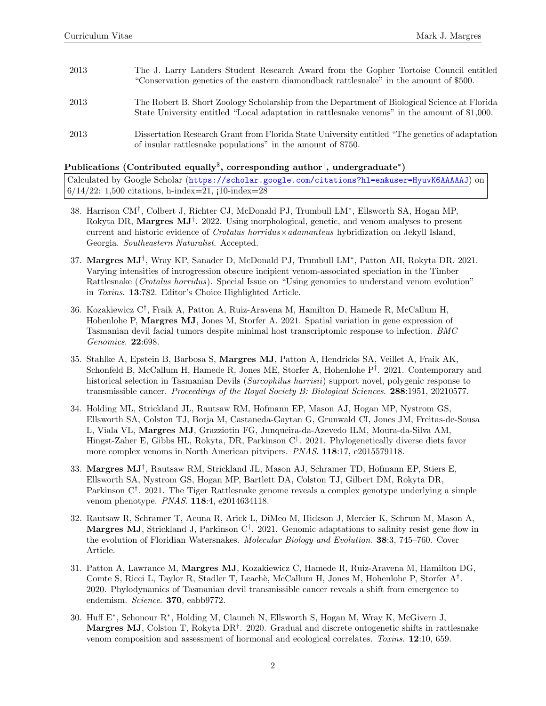| 2013 | The J. Larry Landers Student Research Award from the Gopher Tortoise Council entitled<br>"Conservation genetics of the eastern diamondback rattlesnake" in the amount of \$500.              |
|------|----------------------------------------------------------------------------------------------------------------------------------------------------------------------------------------------|
| 2013 | The Robert B. Short Zoology Scholarship from the Department of Biological Science at Florida<br>State University entitled "Local adaptation in rattlesnake venoms" in the amount of \$1,000. |
| 2013 | Dissertation Research Grant from Florida State University entitled "The genetics of adaptation"<br>of insular rattlesnake populations" in the amount of \$750.                               |

# $\mathbf P$ ublications (Contributed equally $^{\$},$  corresponding author $^{\dag},$  undergraduate $^{\ast})$

Calculated by Google Scholar (https://scholar.google.com/citations?hl=en&user=HyuvK6AAAAAJ) on  $6/14/22$ : 1,500 citations, h-index=21,  $10$ -index=28

- 38. Harrison CM† , Colbert J, Richter CJ, McDonald PJ, Trumbull LM<sup>∗</sup> , Ellsworth SA, Hogan MP, Rokyta DR, Margres MJ<sup>†</sup>. 2022. Using morphological, genetic, and venom analyses to present current and historic evidence of *Crotalus horridus*  $\times$  *adamanteus* hybridization on Jekyll Island, Georgia. Southeastern Naturalist. Accepted.
- 37. Margres MJ† , Wray KP, Sanader D, McDonald PJ, Trumbull LM<sup>∗</sup> , Patton AH, Rokyta DR. 2021. Varying intensities of introgression obscure incipient venom-associated speciation in the Timber Rattlesnake (*Crotalus horridus*). Special Issue on "Using genomics to understand venom evolution" in Toxins. 13:782. Editor's Choice Highlighted Article.
- 36. Kozakiewicz C† , Fraik A, Patton A, Ruiz-Aravena M, Hamilton D, Hamede R, McCallum H, Hohenlohe P, Margres MJ, Jones M, Storfer A. 2021. Spatial variation in gene expression of Tasmanian devil facial tumors despite minimal host transcriptomic response to infection. BMC Genomics. 22:698.
- 35. Stahlke A, Epstein B, Barbosa S, Margres MJ, Patton A, Hendricks SA, Veillet A, Fraik AK, Schonfeld B, McCallum H, Hamede R, Jones ME, Storfer A, Hohenlohe P† . 2021. Contemporary and historical selection in Tasmanian Devils (Sarcophilus harrisii) support novel, polygenic response to transmissible cancer. Proceedings of the Royal Society B: Biological Sciences. 288:1951, 20210577.
- 34. Holding ML, Strickland JL, Rautsaw RM, Hofmann EP, Mason AJ, Hogan MP, Nystrom GS, Ellsworth SA, Colston TJ, Borja M, Castaneda-Gaytan G, Grunwald CI, Jones JM, Freitas-de-Sousa L, Viala VL, Margres MJ, Grazziotin FG, Junqueira-da-Azevedo ILM, Moura-da-Silva AM, Hingst-Zaher E, Gibbs HL, Rokyta, DR, Parkinson C† . 2021. Phylogenetically diverse diets favor more complex venoms in North American pitvipers. PNAS. 118:17, e2015579118.
- 33. Margres MJ† , Rautsaw RM, Strickland JL, Mason AJ, Schramer TD, Hofmann EP, Stiers E, Ellsworth SA, Nystrom GS, Hogan MP, Bartlett DA, Colston TJ, Gilbert DM, Rokyta DR, Parkinson C<sup>†</sup>. 2021. The Tiger Rattlesnake genome reveals a complex genotype underlying a simple venom phenotype. PNAS. 118:4, e2014634118.
- 32. Rautsaw R, Schramer T, Acuna R, Arick L, DiMeo M, Hickson J, Mercier K, Schrum M, Mason A, Margres MJ, Strickland J, Parkinson C<sup>†</sup>. 2021. Genomic adaptations to salinity resist gene flow in the evolution of Floridian Watersnakes. Molecular Biology and Evolution. 38:3, 745–760. Cover Article.
- 31. Patton A, Lawrance M, Margres MJ, Kozakiewicz C, Hamede R, Ruiz-Aravena M, Hamilton DG, Comte S, Ricci L, Taylor R, Stadler T, Leachè, McCallum H, Jones M, Hohenlohe P, Storfer A<sup>†</sup>. 2020. Phylodynamics of Tasmanian devil transmissible cancer reveals a shift from emergence to endemism. Science. 370, eabb9772.
- 30. Huff E<sup>∗</sup> , Schonour R<sup>∗</sup> , Holding M, Claunch N, Ellsworth S, Hogan M, Wray K, McGivern J, Margres MJ, Colston T, Rokyta DR<sup>†</sup>. 2020. Gradual and discrete ontogenetic shifts in rattlesnake venom composition and assessment of hormonal and ecological correlates. Toxins. 12:10, 659.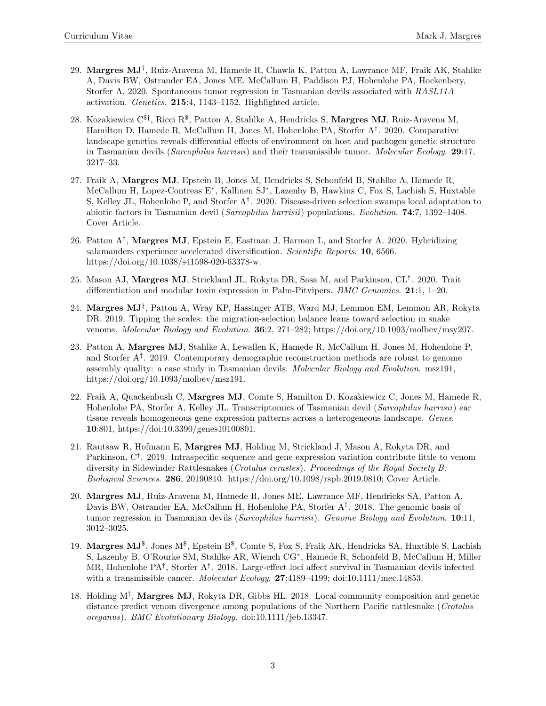- 29. Margres MJ† , Ruiz-Aravena M, Hamede R, Chawla K, Patton A, Lawrance MF, Fraik AK, Stahlke A, Davis BW, Ostrander EA, Jones ME, McCallum H, Paddison PJ, Hohenlohe PA, Hockenbery, Storfer A. 2020. Spontaneous tumor regression in Tasmanian devils associated with RASL11A activation. Genetics. 215:4, 1143–1152. Highlighted article.
- 28. Kozakiewicz  $C^{\$ \dagger}$ , Ricci R $^\$,$  Patton A, Stahlke A, Hendricks S, **Margres MJ**, Ruiz-Aravena M, Hamilton D, Hamede R, McCallum H, Jones M, Hohenlohe PA, Storfer A† . 2020. Comparative landscape genetics reveals differential effects of environment on host and pathogen genetic structure in Tasmanian devils (Sarcophilus harrisii) and their transmissible tumor. Molecular Ecology. 29:17, 3217–33.
- 27. Fraik A, Margres MJ, Epstein B, Jones M, Hendricks S, Schonfeld B, Stahlke A, Hamede R, McCallum H, Lopez-Contreas E<sup>∗</sup> , Kallinen SJ<sup>∗</sup> , Lazenby B, Hawkins C, Fox S, Lachish S, Huxtable S, Kelley JL, Hohenlohe P, and Storfer A† . 2020. Disease-driven selection swamps local adaptation to abiotic factors in Tasmanian devil (Sarcophilus harrisii) populations. Evolution. 74:7, 1392–1408. Cover Article.
- 26. Patton  $A^{\dagger}$ , Margres MJ, Epstein E, Eastman J, Harmon L, and Storfer A. 2020. Hybridizing salamanders experience accelerated diversification. Scientific Reports. 10, 6566. https://doi.org/10.1038/s41598-020-63378-w.
- 25. Mason AJ, Margres MJ, Strickland JL, Rokyta DR, Sasa M, and Parkinson, CL† . 2020. Trait differentiation and modular toxin expression in Palm-Pitvipers. *BMC Genomics*. **21**:1, 1–20.
- 24. Margres MJ† , Patton A, Wray KP, Hassinger ATB, Ward MJ, Lemmon EM, Lemmon AR, Rokyta DR. 2019. Tipping the scales: the migration-selection balance leans toward selection in snake venoms. Molecular Biology and Evolution. 36:2, 271–282; https://doi.org/10.1093/molbev/msy207.
- 23. Patton A, Margres MJ, Stahlke A, Lewallen K, Hamede R, McCallum H, Jones M, Hohenlohe P, and Storfer A† . 2019. Contemporary demographic reconstruction methods are robust to genome assembly quality: a case study in Tasmanian devils. Molecular Biology and Evolution. msz191, https://doi.org/10.1093/molbev/msz191.
- 22. Fraik A, Quackenbush C, Margres MJ, Comte S, Hamilton D, Kozakiewicz C, Jones M, Hamede R, Hohenlohe PA, Storfer A, Kelley JL. Transcriptomics of Tasmanian devil (Sarcophilus harrisii) ear tissue reveals homogeneous gene expression patterns across a heterogeneous landscape. Genes. 10:801, https://doi:10.3390/genes10100801.
- 21. Rautsaw R, Hofmann E, Margres MJ, Holding M, Strickland J, Mason A, Rokyta DR, and Parkinson, C<sup>†</sup>. 2019. Intraspecific sequence and gene expression variation contribute little to venom diversity in Sidewinder Rattlesnakes (Crotalus cerastes). Proceedings of the Royal Society B: Biological Sciences. 286, 20190810. https://doi.org/10.1098/rspb.2019.0810; Cover Article.
- 20. Margres MJ, Ruiz-Aravena M, Hamede R, Jones ME, Lawrance MF, Hendricks SA, Patton A, Davis BW, Ostrander EA, McCallum H, Hohenlohe PA, Storfer A<sup>†</sup>. 2018. The genomic basis of tumor regression in Tasmanian devils *(Sarcophilus harrisii)*. Genome Biology and Evolution. 10:11, 3012–3025.
- 19. Margres  $MJ^{\$}$ , Jones  $M^{\$}$ , Epstein  $B^{\$}$ , Comte S, Fox S, Fraik AK, Hendricks SA, Huxtible S, Lachish S, Lazenby B, O'Rourke SM, Stahlke AR, Wiench CG<sup>∗</sup> , Hamede R, Schonfeld B, McCallum H, Miller MR, Hohenlohe PA† , Storfer A† . 2018. Large-effect loci affect survival in Tasmanian devils infected with a transmissible cancer. *Molecular Ecology.* **27**:4189-4199; doi:10.1111/mec.14853.
- 18. Holding M<sup>†</sup>, Margres MJ, Rokyta DR, Gibbs HL. 2018. Local community composition and genetic distance predict venom divergence among populations of the Northern Pacific rattlesnake (Crotalus oreganus). BMC Evolutionary Biology. doi:10.1111/jeb.13347.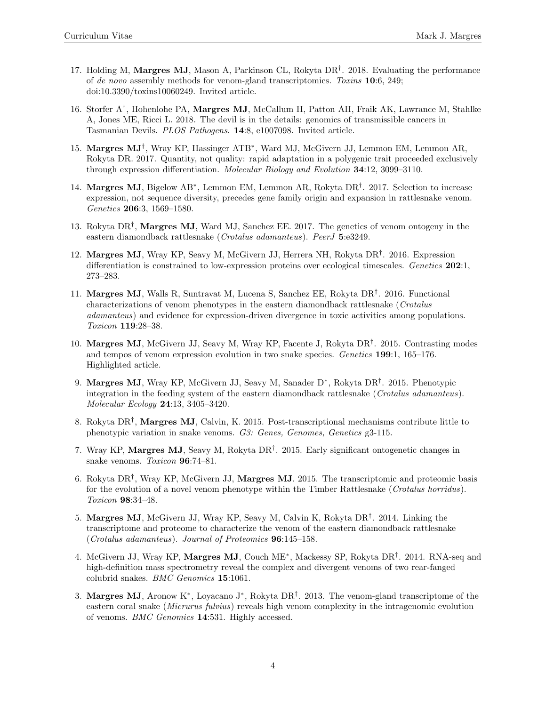- 17. Holding M, Margres MJ, Mason A, Parkinson CL, Rokyta DR<sup>†</sup>. 2018. Evaluating the performance of de novo assembly methods for venom-gland transcriptomics. Toxins 10:6, 249; doi:10.3390/toxins10060249. Invited article.
- 16. Storfer A<sup>†</sup>, Hohenlohe PA, Margres MJ, McCallum H, Patton AH, Fraik AK, Lawrance M, Stahlke A, Jones ME, Ricci L. 2018. The devil is in the details: genomics of transmissible cancers in Tasmanian Devils. PLOS Pathogens. 14:8, e1007098. Invited article.
- 15. Margres MJ† , Wray KP, Hassinger ATB<sup>∗</sup> , Ward MJ, McGivern JJ, Lemmon EM, Lemmon AR, Rokyta DR. 2017. Quantity, not quality: rapid adaptation in a polygenic trait proceeded exclusively through expression differentiation. Molecular Biology and Evolution 34:12, 3099–3110.
- 14. Margres MJ, Bigelow AB<sup>∗</sup> , Lemmon EM, Lemmon AR, Rokyta DR† . 2017. Selection to increase expression, not sequence diversity, precedes gene family origin and expansion in rattlesnake venom. Genetics 206:3, 1569–1580.
- 13. Rokyta DR<sup>†</sup>, Margres MJ, Ward MJ, Sanchez EE. 2017. The genetics of venom ontogeny in the eastern diamondback rattlesnake (Crotalus adamanteus). PeerJ 5:e3249.
- 12. Margres MJ, Wray KP, Seavy M, McGivern JJ, Herrera NH, Rokyta DR<sup>†</sup>. 2016. Expression differentiation is constrained to low-expression proteins over ecological timescales. Genetics 202:1, 273–283.
- 11. Margres MJ, Walls R, Suntravat M, Lucena S, Sanchez EE, Rokyta DR† . 2016. Functional characterizations of venom phenotypes in the eastern diamondback rattlesnake (Crotalus adamanteus) and evidence for expression-driven divergence in toxic activities among populations. Toxicon 119:28–38.
- 10. Margres MJ, McGivern JJ, Seavy M, Wray KP, Facente J, Rokyta DR<sup>†</sup>. 2015. Contrasting modes and tempos of venom expression evolution in two snake species. Genetics 199:1, 165–176. Highlighted article.
- 9. Margres MJ, Wray KP, McGivern JJ, Seavy M, Sanader D<sup>∗</sup>, Rokyta DR<sup>†</sup>. 2015. Phenotypic integration in the feeding system of the eastern diamondback rattlesnake (Crotalus adamanteus). Molecular Ecology 24:13, 3405–3420.
- 8. Rokyta DR<sup>†</sup>, Margres MJ, Calvin, K. 2015. Post-transcriptional mechanisms contribute little to phenotypic variation in snake venoms. G3: Genes, Genomes, Genetics g3-115.
- 7. Wray KP, Margres MJ, Seavy M, Rokyta DR† . 2015. Early significant ontogenetic changes in snake venoms. Toxicon **96**:74-81.
- 6. Rokyta DR<sup>†</sup>, Wray KP, McGivern JJ, **Margres MJ**. 2015. The transcriptomic and proteomic basis for the evolution of a novel venom phenotype within the Timber Rattlesnake (Crotalus horridus). Toxicon 98:34–48.
- 5. Margres MJ, McGivern JJ, Wray KP, Seavy M, Calvin K, Rokyta DR† . 2014. Linking the transcriptome and proteome to characterize the venom of the eastern diamondback rattlesnake (Crotalus adamanteus). Journal of Proteomics 96:145–158.
- 4. McGivern JJ, Wray KP, Margres MJ, Couch ME<sup>∗</sup> , Mackessy SP, Rokyta DR† . 2014. RNA-seq and high-definition mass spectrometry reveal the complex and divergent venoms of two rear-fanged colubrid snakes. BMC Genomics 15:1061.
- 3. Margres MJ, Aronow K<sup>∗</sup> , Loyacano J<sup>∗</sup> , Rokyta DR† . 2013. The venom-gland transcriptome of the eastern coral snake (Micrurus fulvius) reveals high venom complexity in the intragenomic evolution of venoms. BMC Genomics 14:531. Highly accessed.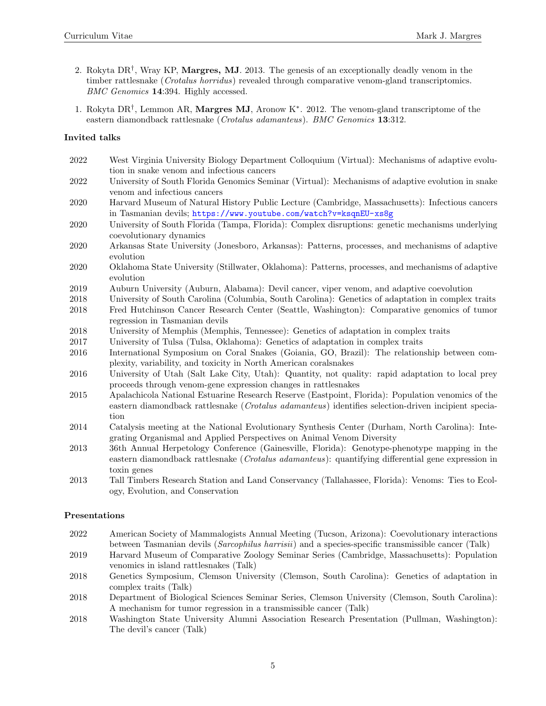- 2. Rokyta DR<sup>†</sup>, Wray KP, Margres, MJ. 2013. The genesis of an exceptionally deadly venom in the timber rattlesnake (Crotalus horridus) revealed through comparative venom-gland transcriptomics. BMC Genomics 14:394. Highly accessed.
- 1. Rokyta DR† , Lemmon AR, Margres MJ, Aronow K<sup>∗</sup> . 2012. The venom-gland transcriptome of the eastern diamondback rattlesnake (Crotalus adamanteus). BMC Genomics 13:312.

# Invited talks

- 2022 West Virginia University Biology Department Colloquium (Virtual): Mechanisms of adaptive evolution in snake venom and infectious cancers
- 2022 University of South Florida Genomics Seminar (Virtual): Mechanisms of adaptive evolution in snake venom and infectious cancers
- 2020 Harvard Museum of Natural History Public Lecture (Cambridge, Massachusetts): Infectious cancers in Tasmanian devils; https://www.youtube.com/watch?v=ksqnEU-xs8g
- 2020 University of South Florida (Tampa, Florida): Complex disruptions: genetic mechanisms underlying coevolutionary dynamics
- 2020 Arkansas State University (Jonesboro, Arkansas): Patterns, processes, and mechanisms of adaptive evolution
- 2020 Oklahoma State University (Stillwater, Oklahoma): Patterns, processes, and mechanisms of adaptive evolution
- 2019 Auburn University (Auburn, Alabama): Devil cancer, viper venom, and adaptive coevolution
- 2018 University of South Carolina (Columbia, South Carolina): Genetics of adaptation in complex traits
- 2018 Fred Hutchinson Cancer Research Center (Seattle, Washington): Comparative genomics of tumor regression in Tasmanian devils
- 2018 University of Memphis (Memphis, Tennessee): Genetics of adaptation in complex traits
- 2017 University of Tulsa (Tulsa, Oklahoma): Genetics of adaptation in complex traits
- 2016 International Symposium on Coral Snakes (Goiania, GO, Brazil): The relationship between complexity, variability, and toxicity in North American coralsnakes
- 2016 University of Utah (Salt Lake City, Utah): Quantity, not quality: rapid adaptation to local prey proceeds through venom-gene expression changes in rattlesnakes
- 2015 Apalachicola National Estuarine Research Reserve (Eastpoint, Florida): Population venomics of the eastern diamondback rattlesnake (Crotalus adamanteus) identifies selection-driven incipient speciation
- 2014 Catalysis meeting at the National Evolutionary Synthesis Center (Durham, North Carolina): Integrating Organismal and Applied Perspectives on Animal Venom Diversity
- 2013 36th Annual Herpetology Conference (Gainesville, Florida): Genotype-phenotype mapping in the eastern diamondback rattlesnake (Crotalus adamanteus): quantifying differential gene expression in toxin genes
- 2013 Tall Timbers Research Station and Land Conservancy (Tallahassee, Florida): Venoms: Ties to Ecology, Evolution, and Conservation

# Presentations

- 2022 American Society of Mammalogists Annual Meeting (Tucson, Arizona): Coevolutionary interactions between Tasmanian devils (Sarcophilus harrisii) and a species-specific transmissible cancer (Talk)
- 2019 Harvard Museum of Comparative Zoology Seminar Series (Cambridge, Massachusetts): Population venomics in island rattlesnakes (Talk)
- 2018 Genetics Symposium, Clemson University (Clemson, South Carolina): Genetics of adaptation in complex traits (Talk)
- 2018 Department of Biological Sciences Seminar Series, Clemson University (Clemson, South Carolina): A mechanism for tumor regression in a transmissible cancer (Talk)
- 2018 Washington State University Alumni Association Research Presentation (Pullman, Washington): The devil's cancer (Talk)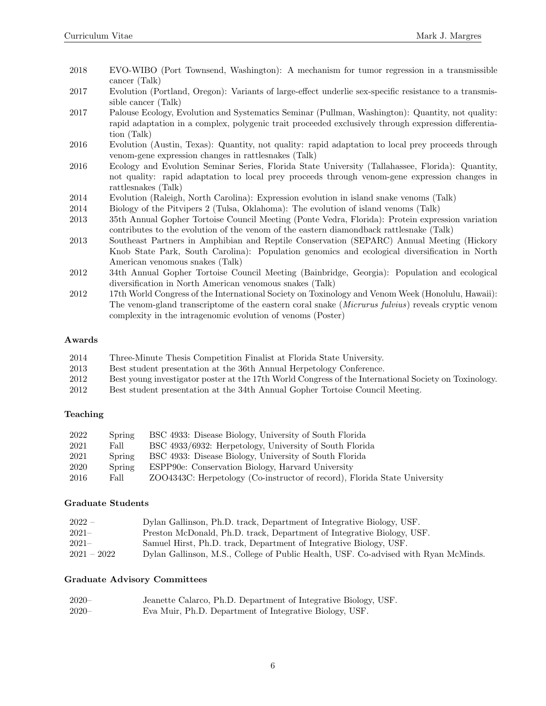- 2018 EVO-WIBO (Port Townsend, Washington): A mechanism for tumor regression in a transmissible cancer (Talk)
- 2017 Evolution (Portland, Oregon): Variants of large-effect underlie sex-specific resistance to a transmissible cancer (Talk)
- 2017 Palouse Ecology, Evolution and Systematics Seminar (Pullman, Washington): Quantity, not quality: rapid adaptation in a complex, polygenic trait proceeded exclusively through expression differentiation (Talk)
- 2016 Evolution (Austin, Texas): Quantity, not quality: rapid adaptation to local prey proceeds through venom-gene expression changes in rattlesnakes (Talk)
- 2016 Ecology and Evolution Seminar Series, Florida State University (Tallahassee, Florida): Quantity, not quality: rapid adaptation to local prey proceeds through venom-gene expression changes in rattlesnakes (Talk)
- 2014 Evolution (Raleigh, North Carolina): Expression evolution in island snake venoms (Talk)
- 2014 Biology of the Pitvipers 2 (Tulsa, Oklahoma): The evolution of island venoms (Talk)
- 2013 35th Annual Gopher Tortoise Council Meeting (Ponte Vedra, Florida): Protein expression variation contributes to the evolution of the venom of the eastern diamondback rattlesnake (Talk)
- 2013 Southeast Partners in Amphibian and Reptile Conservation (SEPARC) Annual Meeting (Hickory Knob State Park, South Carolina): Population genomics and ecological diversification in North American venomous snakes (Talk)
- 2012 34th Annual Gopher Tortoise Council Meeting (Bainbridge, Georgia): Population and ecological diversification in North American venomous snakes (Talk)
- 2012 17th World Congress of the International Society on Toxinology and Venom Week (Honolulu, Hawaii): The venom-gland transcriptome of the eastern coral snake (Micrurus fulvius) reveals cryptic venom complexity in the intragenomic evolution of venoms (Poster)

#### Awards

- 2014 Three-Minute Thesis Competition Finalist at Florida State University.
- 2013 Best student presentation at the 36th Annual Herpetology Conference.
- 2012 Best young investigator poster at the 17th World Congress of the International Society on Toxinology.
- 2012 Best student presentation at the 34th Annual Gopher Tortoise Council Meeting.

#### Teaching

| 2022 | Spring | BSC 4933: Disease Biology, University of South Florida                    |
|------|--------|---------------------------------------------------------------------------|
| 2021 | Fall   | BSC 4933/6932: Herpetology, University of South Florida                   |
| 2021 | Spring | BSC 4933: Disease Biology, University of South Florida                    |
| 2020 | Spring | ESPP90e: Conservation Biology, Harvard University                         |
| 2016 | Fall   | ZOO4343C: Herpetology (Co-instructor of record), Florida State University |

#### Graduate Students

| $2022 -$      | Dylan Gallinson, Ph.D. track, Department of Integrative Biology, USF.               |
|---------------|-------------------------------------------------------------------------------------|
| $2021-$       | Preston McDonald, Ph.D. track, Department of Integrative Biology, USF.              |
| $2021-$       | Samuel Hirst, Ph.D. track, Department of Integrative Biology, USF.                  |
| $2021 - 2022$ | Dylan Gallinson, M.S., College of Public Health, USF. Co-advised with Ryan McMinds. |

#### Graduate Advisory Committees

| $2020 -$ | Jeanette Calarco, Ph.D. Department of Integrative Biology, USF. |
|----------|-----------------------------------------------------------------|
| $2020 -$ | Eva Muir, Ph.D. Department of Integrative Biology, USF.         |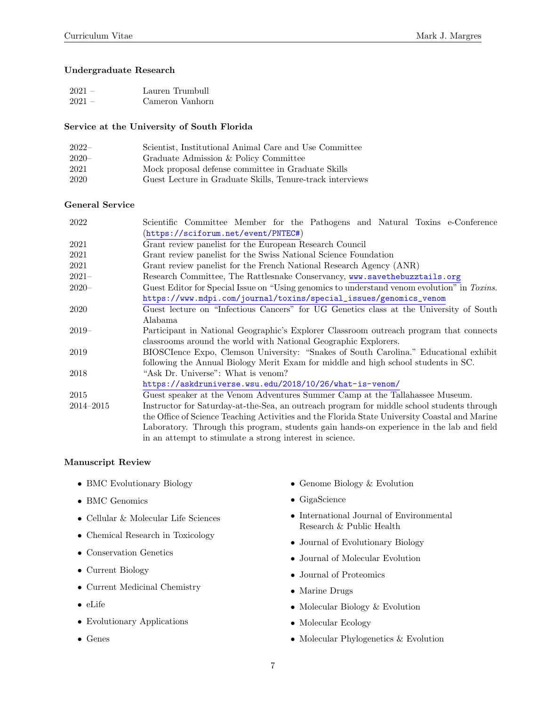### Undergraduate Research

| $2021 -$ | Lauren Trumbull |
|----------|-----------------|
| $2021 -$ | Cameron Vanhorn |

#### Service at the University of South Florida

| $2022-$  | Scientist, Institutional Animal Care and Use Committee    |
|----------|-----------------------------------------------------------|
| $2020 -$ | Graduate Admission & Policy Committee                     |
| 2021     | Mock proposal defense committee in Graduate Skills        |
| 2020     | Guest Lecture in Graduate Skills, Tenure-track interviews |

#### General Service

| 2022      | Scientific Committee Member for the Pathogens and Natural Toxins e-Conference                 |
|-----------|-----------------------------------------------------------------------------------------------|
|           | (https://sciforum.net/event/PNTEC#)                                                           |
| 2021      | Grant review panelist for the European Research Council                                       |
| 2021      | Grant review panelist for the Swiss National Science Foundation                               |
| 2021      | Grant review panelist for the French National Research Agency (ANR)                           |
| $2021 -$  | Research Committee, The Rattlesnake Conservancy, www.savethebuzztails.org                     |
| $2020 -$  | Guest Editor for Special Issue on "Using genomics to understand venom evolution" in Toxins.   |
|           | https://www.mdpi.com/journal/toxins/special_issues/genomics_venom                             |
| 2020      | Guest lecture on "Infectious Cancers" for UG Genetics class at the University of South        |
|           | Alabama                                                                                       |
| $2019-$   | Participant in National Geographic's Explorer Classroom outreach program that connects        |
|           | classrooms around the world with National Geographic Explorers.                               |
| 2019      | BIOSCIence Expo, Clemson University: "Snakes of South Carolina." Educational exhibit          |
|           | following the Annual Biology Merit Exam for middle and high school students in SC.            |
| 2018      | "Ask Dr. Universe": What is venom?                                                            |
|           | https://askdruniverse.wsu.edu/2018/10/26/what-is-venom/                                       |
| 2015      | Guest speaker at the Venom Adventures Summer Camp at the Tallahassee Museum.                  |
| 2014-2015 | Instructor for Saturday-at-the-Sea, an outreach program for middle school students through    |
|           | the Office of Science Teaching Activities and the Florida State University Coastal and Marine |
|           | Laboratory. Through this program, students gain hands-on experience in the lab and field      |
|           | in an attempt to stimulate a strong interest in science.                                      |

#### Manuscript Review

- BMC Evolutionary Biology
- BMC Genomics
- Cellular & Molecular Life Sciences
- Chemical Research in Toxicology
- Conservation Genetics
- Current Biology
- Current Medicinal Chemistry
- eLife
- Evolutionary Applications
- Genes
- Genome Biology & Evolution
- GigaScience
- International Journal of Environmental Research & Public Health
- Journal of Evolutionary Biology
- Journal of Molecular Evolution
- Journal of Proteomics
- Marine Drugs
- Molecular Biology & Evolution
- Molecular Ecology
- Molecular Phylogenetics & Evolution